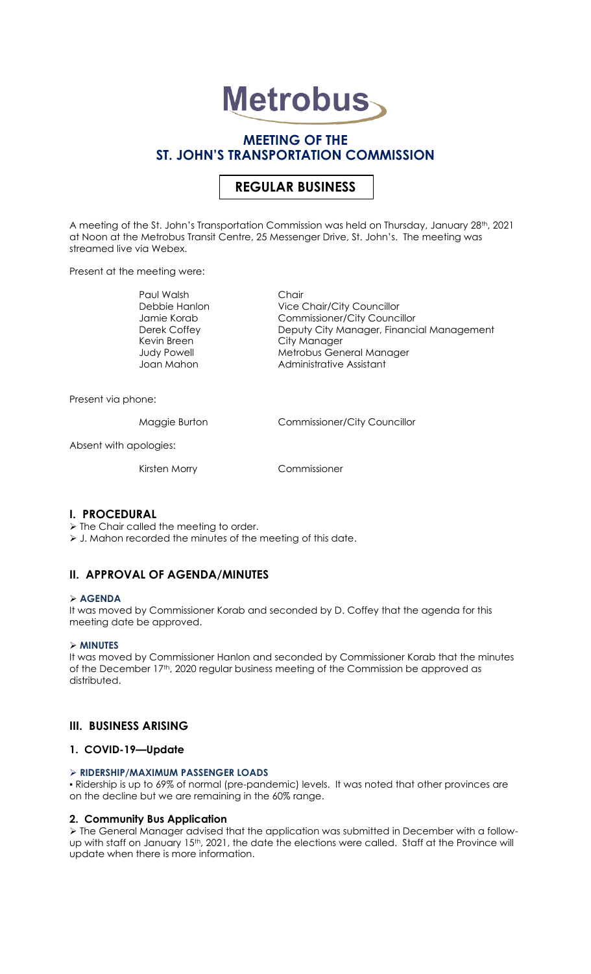# **Metrobus**

## **MEETING OF THE ST. JOHN'S TRANSPORTATION COMMISSION**

# **REGULAR BUSINESS**

A meeting of the St. John's Transportation Commission was held on Thursday, January 28th, 2021 at Noon at the Metrobus Transit Centre, 25 Messenger Drive, St. John's. The meeting was streamed live via Webex.

Present at the meeting were:

Paul Walsh Chair Kevin Breen City Manager

Debbie Hanlon Vice Chair/City Councillor Jamie Korab Commissioner/City Councillor Derek Coffey **Deputy City Manager, Financial Management** Judy Powell Metrobus General Manager Joan Mahon **Administrative Assistant** 

Present via phone:

Maggie Burton Commissioner/City Councillor

Absent with apologies:

Kirsten Morry Commissioner

## **I. PROCEDURAL**

➢ The Chair called the meeting to order.

➢ J. Mahon recorded the minutes of the meeting of this date.

## **II. APPROVAL OF AGENDA/MINUTES**

#### ➢ **AGENDA**

It was moved by Commissioner Korab and seconded by D. Coffey that the agenda for this meeting date be approved.

#### ➢ **MINUTES**

It was moved by Commissioner Hanlon and seconded by Commissioner Korab that the minutes of the December 17<sup>th</sup>, 2020 regular business meeting of the Commission be approved as distributed.

## **III. BUSINESS ARISING**

## **1. COVID-19—Update**

## ➢ **RIDERSHIP/MAXIMUM PASSENGER LOADS**

. Ridership is up to 69% of normal (pre-pandemic) levels. It was noted that other provinces are on the decline but we are remaining in the 60% range.

## **2. Community Bus Application**

➢ The General Manager advised that the application was submitted in December with a followup with staff on January 15<sup>th</sup>, 2021, the date the elections were called. Staff at the Province will update when there is more information.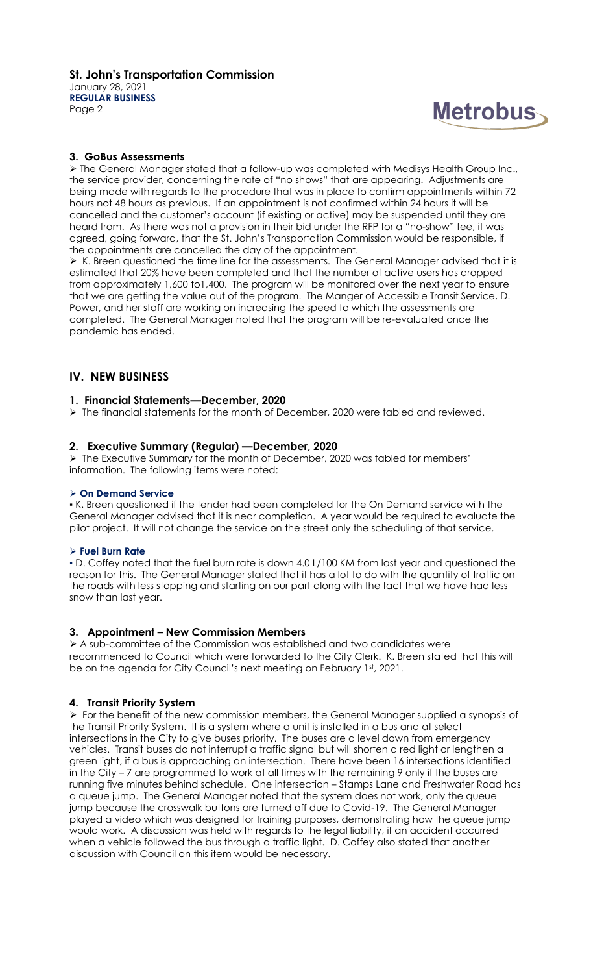

## **3. GoBus Assessments**

➢ The General Manager stated that a follow-up was completed with Medisys Health Group Inc., the service provider, concerning the rate of "no shows" that are appearing. Adjustments are being made with regards to the procedure that was in place to confirm appointments within 72 hours not 48 hours as previous. If an appointment is not confirmed within 24 hours it will be cancelled and the customer's account (if existing or active) may be suspended until they are heard from. As there was not a provision in their bid under the RFP for a "no-show" fee, it was agreed, going forward, that the St. John's Transportation Commission would be responsible, if the appointments are cancelled the day of the appointment.

➢ K. Breen questioned the time line for the assessments. The General Manager advised that it is estimated that 20% have been completed and that the number of active users has dropped from approximately 1,600 to1,400. The program will be monitored over the next year to ensure that we are getting the value out of the program. The Manger of Accessible Transit Service, D. Power, and her staff are working on increasing the speed to which the assessments are completed. The General Manager noted that the program will be re-evaluated once the pandemic has ended.

## **IV. NEW BUSINESS**

#### **1. Financial Statements—December, 2020**

➢ The financial statements for the month of December, 2020 were tabled and reviewed.

## **2. Executive Summary (Regular) —December, 2020**

➢ The Executive Summary for the month of December, 2020 was tabled for members' information. The following items were noted:

#### ➢ **On Demand Service**

▪ K. Breen questioned if the tender had been completed for the On Demand service with the General Manager advised that it is near completion. A year would be required to evaluate the pilot project. It will not change the service on the street only the scheduling of that service.

#### ➢ **Fuel Burn Rate**

**▪** D. Coffey noted that the fuel burn rate is down 4.0 L/100 KM from last year and questioned the reason for this. The General Manager stated that it has a lot to do with the quantity of traffic on the roads with less stopping and starting on our part along with the fact that we have had less snow than last year.

#### **3. Appointment – New Commission Members**

➢ A sub-committee of the Commission was established and two candidates were recommended to Council which were forwarded to the City Clerk. K. Breen stated that this will be on the agenda for City Council's next meeting on February 1st, 2021.

#### **4. Transit Priority System**

 $\triangleright$  For the benefit of the new commission members, the General Manager supplied a synopsis of the Transit Priority System. It is a system where a unit is installed in a bus and at select intersections in the City to give buses priority. The buses are a level down from emergency vehicles. Transit buses do not interrupt a traffic signal but will shorten a red light or lengthen a green light, if a bus is approaching an intersection. There have been 16 intersections identified in the City – 7 are programmed to work at all times with the remaining 9 only if the buses are running five minutes behind schedule. One intersection – Stamps Lane and Freshwater Road has a queue jump. The General Manager noted that the system does not work, only the queue jump because the crosswalk buttons are turned off due to Covid-19. The General Manager played a video which was designed for training purposes, demonstrating how the queue jump would work. A discussion was held with regards to the legal liability, if an accident occurred when a vehicle followed the bus through a traffic light. D. Coffey also stated that another discussion with Council on this item would be necessary.